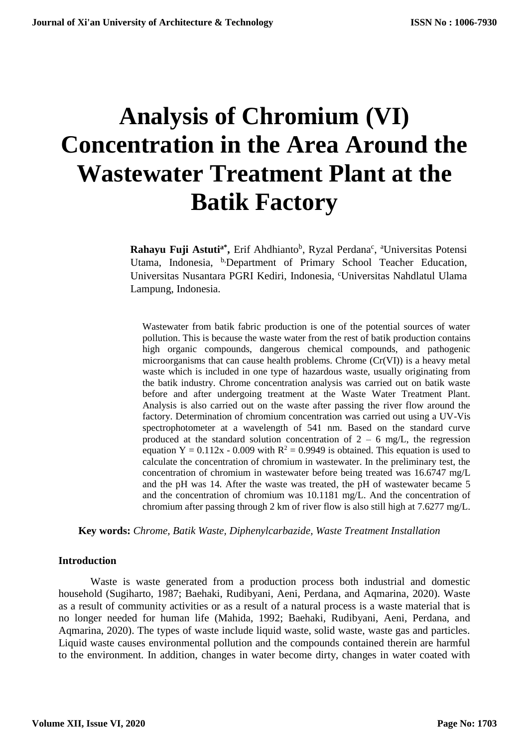# **Analysis of Chromium (VI) Concentration in the Area Around the Wastewater Treatment Plant at the Batik Factory**

Rahayu Fuji Astuti<sup>a\*</sup>, Erif Ahdhianto<sup>b</sup>, Ryzal Perdana<sup>c</sup>, <sup>a</sup>Universitas Potensi Utama, Indonesia, <sup>b</sup>,Department of Primary School Teacher Education, Universitas Nusantara PGRI Kediri, Indonesia, <sup>c</sup>Universitas Nahdlatul Ulama Lampung, Indonesia.

Wastewater from batik fabric production is one of the potential sources of water pollution. This is because the waste water from the rest of batik production contains high organic compounds, dangerous chemical compounds, and pathogenic microorganisms that can cause health problems. Chrome (Cr(VI)) is a heavy metal waste which is included in one type of hazardous waste, usually originating from the batik industry. Chrome concentration analysis was carried out on batik waste before and after undergoing treatment at the Waste Water Treatment Plant. Analysis is also carried out on the waste after passing the river flow around the factory. Determination of chromium concentration was carried out using a UV-Vis spectrophotometer at a wavelength of 541 nm. Based on the standard curve produced at the standard solution concentration of  $2 - 6$  mg/L, the regression equation Y = 0.112x - 0.009 with  $R^2 = 0.9949$  is obtained. This equation is used to calculate the concentration of chromium in wastewater. In the preliminary test, the concentration of chromium in wastewater before being treated was 16.6747 mg/L and the pH was 14. After the waste was treated, the pH of wastewater became 5 and the concentration of chromium was 10.1181 mg/L. And the concentration of chromium after passing through 2 km of river flow is also still high at 7.6277 mg/L.

**Key words:** *Chrome, Batik Waste, Diphenylcarbazide, Waste Treatment Installation*

#### **Introduction**

Waste is waste generated from a production process both industrial and domestic household (Sugiharto, 1987; Baehaki, Rudibyani, Aeni, Perdana, and Aqmarina, 2020). Waste as a result of community activities or as a result of a natural process is a waste material that is no longer needed for human life (Mahida, 1992; Baehaki, Rudibyani, Aeni, Perdana, and Aqmarina, 2020). The types of waste include liquid waste, solid waste, waste gas and particles. Liquid waste causes environmental pollution and the compounds contained therein are harmful to the environment. In addition, changes in water become dirty, changes in water coated with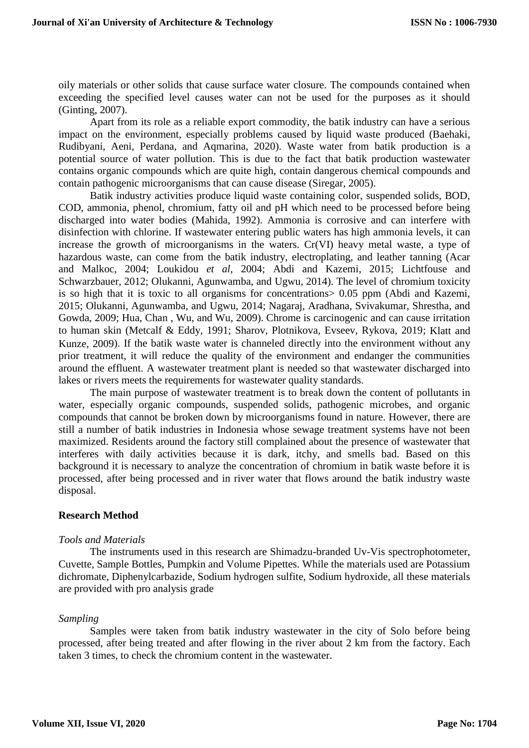oily materials or other solids that cause surface water closure. The compounds contained when exceeding the specified level causes water can not be used for the purposes as it should (Ginting, 2007).

Apart from its role as a reliable export commodity, the batik industry can have a serious impact on the environment, especially problems caused by liquid waste produced (Baehaki, Rudibyani, Aeni, Perdana, and Aqmarina, 2020). Waste water from batik production is a potential source of water pollution. This is due to the fact that batik production wastewater contains organic compounds which are quite high, contain dangerous chemical compounds and contain pathogenic microorganisms that can cause disease (Siregar, 2005).

Batik industry activities produce liquid waste containing color, suspended solids, BOD, COD, ammonia, phenol, chromium, fatty oil and pH which need to be processed before being discharged into water bodies (Mahida, 1992). Ammonia is corrosive and can interfere with disinfection with chlorine. If wastewater entering public waters has high ammonia levels, it can increase the growth of microorganisms in the waters. Cr(VI) heavy metal waste, a type of hazardous waste, can come from the batik industry, electroplating, and leather tanning (Acar and Malkoc, 2004; Loukidou *et al*, 2004; Abdi and Kazemi, 2015; Lichtfouse and Schwarzbauer, 2012; Olukanni, Agunwamba, and Ugwu, 2014). The level of chromium toxicity is so high that it is toxic to all organisms for concentrations> 0.05 ppm (Abdi and Kazemi, 2015; Olukanni, Agunwamba, and Ugwu, 2014; Nagaraj, Aradhana, Svivakumar, Shrestha, and Gowda, 2009; Hua, Chan , Wu, and Wu, 2009). Chrome is carcinogenic and can cause irritation to human skin (Metcalf & Eddy, 1991; Sharov, Plotnikova, Evseev, Rykova, 2019; Klatt and Kunze, 2009). If the batik waste water is channeled directly into the environment without any prior treatment, it will reduce the quality of the environment and endanger the communities around the effluent. A wastewater treatment plant is needed so that wastewater discharged into lakes or rivers meets the requirements for wastewater quality standards.

The main purpose of wastewater treatment is to break down the content of pollutants in water, especially organic compounds, suspended solids, pathogenic microbes, and organic compounds that cannot be broken down by microorganisms found in nature. However, there are still a number of batik industries in Indonesia whose sewage treatment systems have not been maximized. Residents around the factory still complained about the presence of wastewater that interferes with daily activities because it is dark, itchy, and smells bad. Based on this background it is necessary to analyze the concentration of chromium in batik waste before it is processed, after being processed and in river water that flows around the batik industry waste disposal.

## **Research Method**

## *Tools and Materials*

The instruments used in this research are Shimadzu-branded Uv-Vis spectrophotometer, Cuvette, Sample Bottles, Pumpkin and Volume Pipettes. While the materials used are Potassium dichromate, Diphenylcarbazide, Sodium hydrogen sulfite, Sodium hydroxide, all these materials are provided with pro analysis grade

## *Sampling*

Samples were taken from batik industry wastewater in the city of Solo before being processed, after being treated and after flowing in the river about 2 km from the factory. Each taken 3 times, to check the chromium content in the wastewater.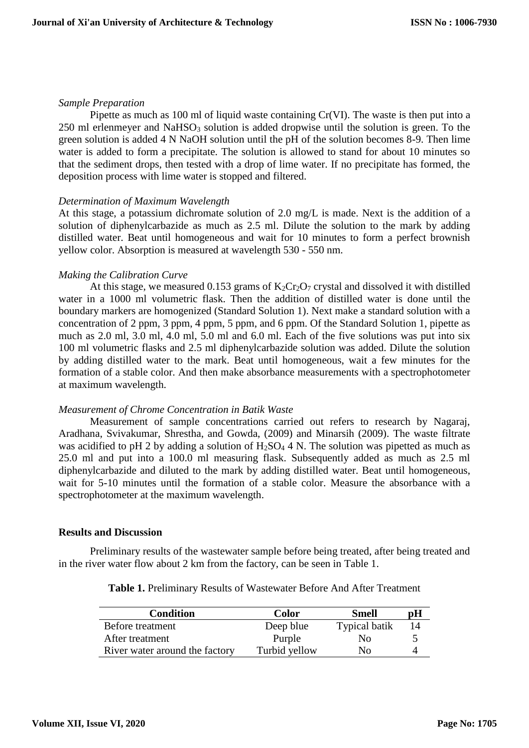#### *Sample Preparation*

Pipette as much as 100 ml of liquid waste containing Cr(VI). The waste is then put into a  $250$  ml erlenmeyer and NaHSO<sub>3</sub> solution is added dropwise until the solution is green. To the green solution is added 4 N NaOH solution until the pH of the solution becomes 8-9. Then lime water is added to form a precipitate. The solution is allowed to stand for about 10 minutes so that the sediment drops, then tested with a drop of lime water. If no precipitate has formed, the deposition process with lime water is stopped and filtered.

## *Determination of Maximum Wavelength*

At this stage, a potassium dichromate solution of 2.0 mg/L is made. Next is the addition of a solution of diphenylcarbazide as much as 2.5 ml. Dilute the solution to the mark by adding distilled water. Beat until homogeneous and wait for 10 minutes to form a perfect brownish yellow color. Absorption is measured at wavelength 530 - 550 nm.

## *Making the Calibration Curve*

At this stage, we measured 0.153 grams of  $K_2Cr_2O_7$  crystal and dissolved it with distilled water in a 1000 ml volumetric flask. Then the addition of distilled water is done until the boundary markers are homogenized (Standard Solution 1). Next make a standard solution with a concentration of 2 ppm, 3 ppm, 4 ppm, 5 ppm, and 6 ppm. Of the Standard Solution 1, pipette as much as 2.0 ml, 3.0 ml, 4.0 ml, 5.0 ml and 6.0 ml. Each of the five solutions was put into six 100 ml volumetric flasks and 2.5 ml diphenylcarbazide solution was added. Dilute the solution by adding distilled water to the mark. Beat until homogeneous, wait a few minutes for the formation of a stable color. And then make absorbance measurements with a spectrophotometer at maximum wavelength.

## *Measurement of Chrome Concentration in Batik Waste*

Measurement of sample concentrations carried out refers to research by Nagaraj, Aradhana, Svivakumar, Shrestha, and Gowda, (2009) and Minarsih (2009). The waste filtrate was acidified to pH 2 by adding a solution of  $H_2SO_4$  4 N. The solution was pipetted as much as 25.0 ml and put into a 100.0 ml measuring flask. Subsequently added as much as 2.5 ml diphenylcarbazide and diluted to the mark by adding distilled water. Beat until homogeneous, wait for 5-10 minutes until the formation of a stable color. Measure the absorbance with a spectrophotometer at the maximum wavelength.

#### **Results and Discussion**

Preliminary results of the wastewater sample before being treated, after being treated and in the river water flow about 2 km from the factory, can be seen in Table 1.

| Condition                      | <b>Color</b>  | <b>Smell</b>         | рH |
|--------------------------------|---------------|----------------------|----|
| Before treatment               | Deep blue     | <b>Typical batik</b> | 14 |
| After treatment                | Purple        | No                   |    |
| River water around the factory | Turbid yellow | No.                  |    |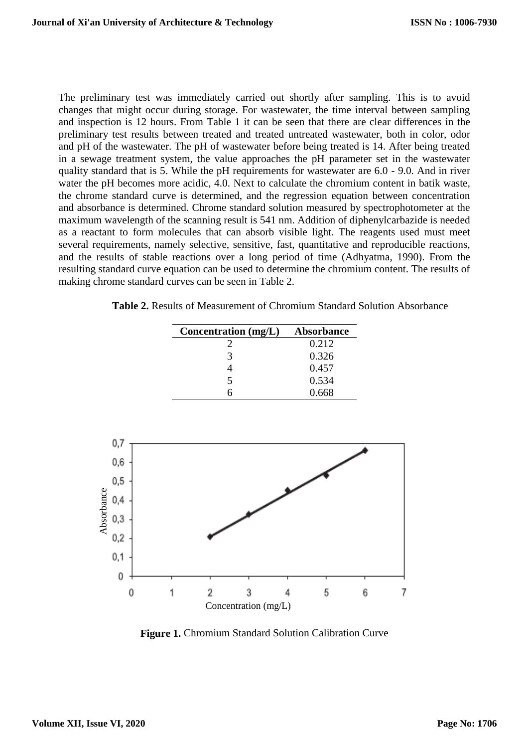The preliminary test was immediately carried out shortly after sampling. This is to avoid changes that might occur during storage. For wastewater, the time interval between sampling and inspection is 12 hours. From Table 1 it can be seen that there are clear differences in the preliminary test results between treated and treated untreated wastewater, both in color, odor and pH of the wastewater. The pH of wastewater before being treated is 14. After being treated in a sewage treatment system, the value approaches the pH parameter set in the wastewater quality standard that is 5. While the pH requirements for wastewater are 6.0 - 9.0. And in river water the pH becomes more acidic, 4.0. Next to calculate the chromium content in batik waste, the chrome standard curve is determined, and the regression equation between concentration and absorbance is determined. Chrome standard solution measured by spectrophotometer at the maximum wavelength of the scanning result is 541 nm. Addition of diphenylcarbazide is needed as a reactant to form molecules that can absorb visible light. The reagents used must meet several requirements, namely selective, sensitive, fast, quantitative and reproducible reactions, and the results of stable reactions over a long period of time (Adhyatma, 1990). From the resulting standard curve equation can be used to determine the chromium content. The results of making chrome standard curves can be seen in Table 2.

**Table 2.** Results of Measurement of Chromium Standard Solution Absorbance

|          | Concentration (mg/L) | <b>Absorbance</b> |
|----------|----------------------|-------------------|
|          | $\frac{2}{3}$        | 0.212             |
|          |                      | 0.326             |
|          | $\frac{4}{5}$        | 0.457             |
|          |                      | 0.534             |
|          | $\overline{6}$       | 0.668             |
|          |                      |                   |
|          |                      |                   |
| 0,7      |                      |                   |
| $_{0,6}$ |                      |                   |
| 0,5      |                      |                   |
|          |                      |                   |
| 0,4      |                      |                   |
| $_{0,3}$ |                      |                   |
|          |                      |                   |
| 0,2      |                      |                   |
| 0,1      |                      |                   |
|          |                      |                   |

0 + 0 1 2 3 5 6 7 4 Concentration (mg/L)

**Figure 1.** Chromium Standard Solution Calibration Curve

Absorbance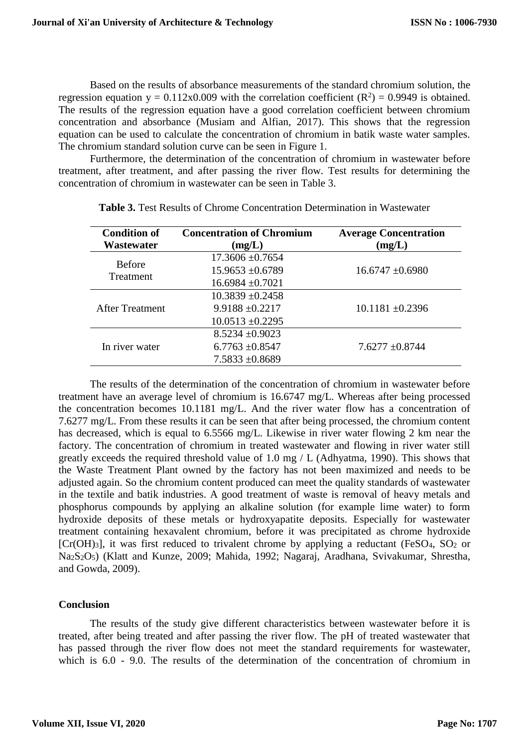Based on the results of absorbance measurements of the standard chromium solution, the regression equation  $y = 0.112x0.009$  with the correlation coefficient  $(R^2) = 0.9949$  is obtained. The results of the regression equation have a good correlation coefficient between chromium concentration and absorbance (Musiam and Alfian, 2017). This shows that the regression equation can be used to calculate the concentration of chromium in batik waste water samples. The chromium standard solution curve can be seen in Figure 1.

Furthermore, the determination of the concentration of chromium in wastewater before treatment, after treatment, and after passing the river flow. Test results for determining the concentration of chromium in wastewater can be seen in Table 3.

| <b>Condition of</b><br>Wastewater | <b>Concentration of Chromium</b><br>(mg/L) | <b>Average Concentration</b><br>(mg/L) |
|-----------------------------------|--------------------------------------------|----------------------------------------|
| <b>Before</b><br>Treatment        | $17.3606 \pm 0.7654$                       |                                        |
|                                   | $15.9653 \pm 0.6789$                       | $16.6747 \pm 0.6980$                   |
|                                   | $16.6984 \pm 0.7021$                       |                                        |
| <b>After Treatment</b>            | $10.3839 + 0.2458$                         |                                        |
|                                   | $9.9188 \pm 0.2217$                        | $10.1181 \pm 0.2396$                   |
|                                   | $10.0513 \pm 0.2295$                       |                                        |
| In river water                    | $8.5234 \pm 0.9023$                        |                                        |
|                                   | $6.7763 \pm 0.8547$                        | $7.6277 \pm 0.8744$                    |
|                                   | $7.5833 \pm 0.8689$                        |                                        |

**Table 3.** Test Results of Chrome Concentration Determination in Wastewater

The results of the determination of the concentration of chromium in wastewater before treatment have an average level of chromium is 16.6747 mg/L. Whereas after being processed the concentration becomes 10.1181 mg/L. And the river water flow has a concentration of 7.6277 mg/L. From these results it can be seen that after being processed, the chromium content has decreased, which is equal to 6.5566 mg/L. Likewise in river water flowing 2 km near the factory. The concentration of chromium in treated wastewater and flowing in river water still greatly exceeds the required threshold value of 1.0 mg / L (Adhyatma, 1990). This shows that the Waste Treatment Plant owned by the factory has not been maximized and needs to be adjusted again. So the chromium content produced can meet the quality standards of wastewater in the textile and batik industries. A good treatment of waste is removal of heavy metals and phosphorus compounds by applying an alkaline solution (for example lime water) to form hydroxide deposits of these metals or hydroxyapatite deposits. Especially for wastewater treatment containing hexavalent chromium, before it was precipitated as chrome hydroxide  $[Cr(OH)_3]$ , it was first reduced to trivalent chrome by applying a reductant (FeSO<sub>4</sub>, SO<sub>2</sub> or Na2S2O5) (Klatt and Kunze, 2009; Mahida, 1992; Nagaraj, Aradhana, Svivakumar, Shrestha, and Gowda, 2009).

#### **Conclusion**

The results of the study give different characteristics between wastewater before it is treated, after being treated and after passing the river flow. The pH of treated wastewater that has passed through the river flow does not meet the standard requirements for wastewater, which is 6.0 - 9.0. The results of the determination of the concentration of chromium in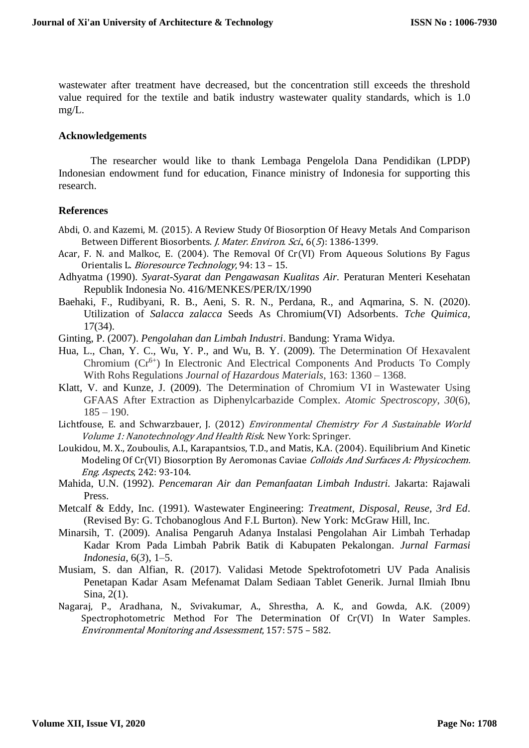wastewater after treatment have decreased, but the concentration still exceeds the threshold value required for the textile and batik industry wastewater quality standards, which is 1.0 mg/L.

#### **Acknowledgements**

The researcher would like to thank Lembaga Pengelola Dana Pendidikan (LPDP) Indonesian endowment fund for education, Finance ministry of Indonesia for supporting this research.

#### **References**

- Abdi, O. and Kazemi, M. (2015). A Review Study Of Biosorption Of Heavy Metals And Comparison Between Different Biosorbents. J. Mater. Environ. Sci., 6(5): 1386-1399.
- Acar, F. N. and Malkoc, E. (2004). The Removal Of Cr(VI) From Aqueous Solutions By Fagus Orientalis L. Bioresource Technology, 94: 13 - 15.
- Adhyatma (1990). *Syarat-Syarat dan Pengawasan Kualitas Air.* Peraturan Menteri Kesehatan Republik Indonesia No. 416/MENKES/PER/IX/1990
- Baehaki, F., Rudibyani, R. B., Aeni, S. R. N., Perdana, R., and Aqmarina, S. N. (2020). Utilization of *Salacca zalacca* Seeds As Chromium(VI) Adsorbents. *Tche Quimica*, 17(34).
- Ginting, P. (2007). *Pengolahan dan Limbah Industri*. Bandung: Yrama Widya.
- Hua, L., Chan, Y. C., Wu, Y. P., and Wu, B. Y. (2009). The Determination Of Hexavalent Chromium  $(Cr^{6+})$  In Electronic And Electrical Components And Products To Comply With Rohs Regulations *Journal of Hazardous Materials*, 163: 1360 – 1368.
- Klatt, V. and Kunze, J. (2009). The Determination of Chromium VI in Wastewater Using GFAAS After Extraction as Diphenylcarbazide Complex. *Atomic Spectroscopy*, *30*(6),  $185 - 190.$
- Lichtfouse, E. and Schwarzbauer, J. (2012) Environmental Chemistry For A Sustainable World Volume 1: Nanotechnology And Health Risk. New York: Springer.
- Loukidou, M. X., Zouboulis, A.I., Karapantsios, T.D., and Matis, K.A. (2004). Equilibrium And Kinetic Modeling Of Cr(VI) Biosorption By Aeromonas Caviae Colloids And Surfaces A: Physicochem. Eng. Aspects, 242: 93-104.
- Mahida, U.N. (1992). *Pencemaran Air dan Pemanfaatan Limbah Industri.* Jakarta: Rajawali Press.
- Metcalf & Eddy, Inc. (1991). Wastewater Engineering: *Treatment, Disposal, Reuse, 3rd Ed*. (Revised By: G. Tchobanoglous And F.L Burton). New York: McGraw Hill, Inc.
- Minarsih, T. (2009). Analisa Pengaruh Adanya Instalasi Pengolahan Air Limbah Terhadap Kadar Krom Pada Limbah Pabrik Batik di Kabupaten Pekalongan. *Jurnal Farmasi Indonesia*, 6(*3*), 1–5.
- Musiam, S. dan Alfian, R. (2017). Validasi Metode Spektrofotometri UV Pada Analisis Penetapan Kadar Asam Mefenamat Dalam Sediaan Tablet Generik. Jurnal Ilmiah Ibnu Sina, 2(1).
- Nagaraj, P., Aradhana, N., Svivakumar, A., Shrestha, A. K., and Gowda, A.K. (2009) Spectrophotometric Method For The Determination Of Cr(VI) In Water Samples. Environmental Monitoring and Assessment, 157: 575 – 582.